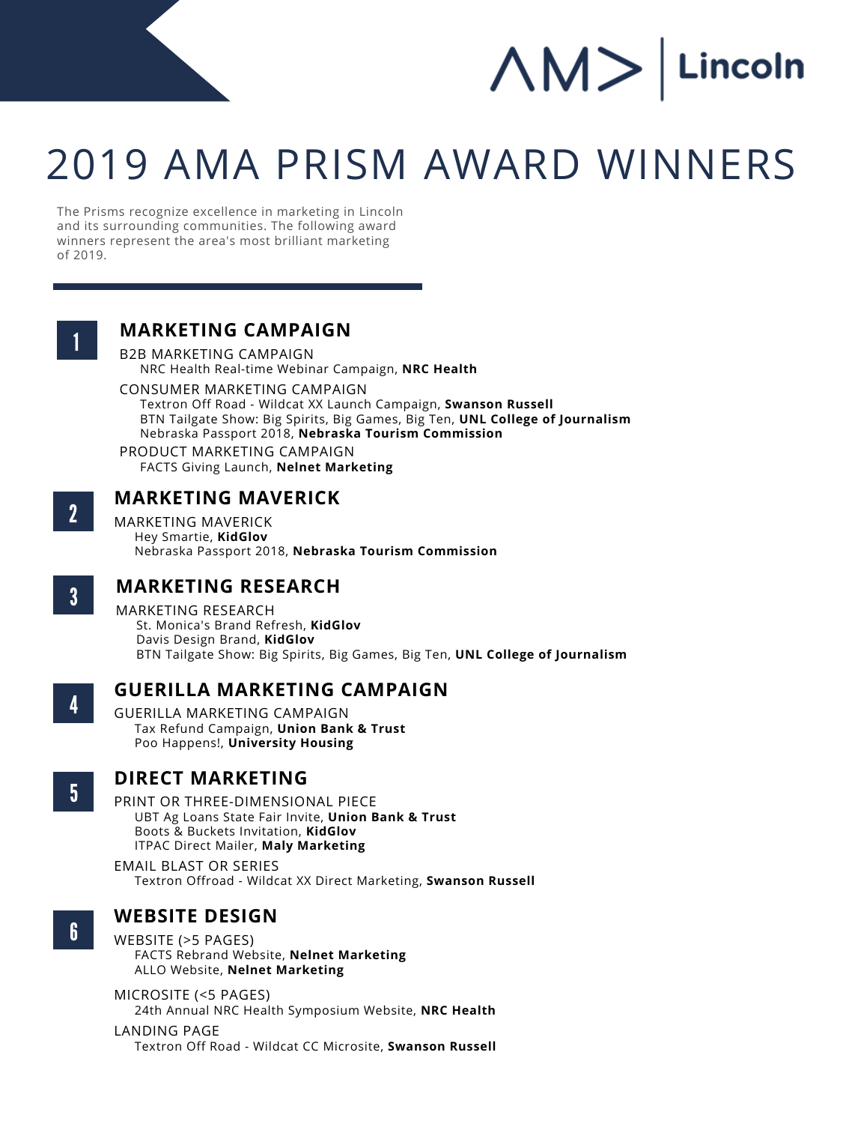# $\bigwedge \bigwedge \bigwedge$   $\bigwedge$   $\bigwedge$   $\bigwedge$   $\bigwedge$   $\bigwedge$   $\bigwedge$   $\bigwedge$   $\bigwedge$   $\bigwedge$   $\bigwedge$   $\bigwedge$   $\bigwedge$   $\bigwedge$   $\bigwedge$   $\bigwedge$   $\bigwedge$   $\bigwedge$   $\bigwedge$   $\bigwedge$   $\bigwedge$   $\bigwedge$   $\bigwedge$   $\bigwedge$   $\bigwedge$   $\bigwedge$   $\bigwedge$   $\bigwedge$   $\bigwedge$   $\bigwedge$   $\big$

## 2019 AMA PRISM AWARD WINNERS



#### **MARKETING CAMPAIGN**

2

NRC Health Real-time Webinar Campaign, **NRC Health** B2B MARKETING CAMPAIGN

The Prisms recognize excellence in marketing in Lincoln and its surrounding communities. The following award winners represent the area's most brilliant marketing of 2019.

> Textron Off Road - Wildcat XX Launch Campaign, **Swanson Russell** BTN Tailgate Show: Big Spirits, Big Games, Big Ten, **UNL College of Journalism** Nebraska Passport 2018, **Nebraska Tourism Commission**

CONSUMER MARKETING CAMPAIGN

PRODUCT MARKETING CAMPAIGN FACTS Giving Launch, **Nelnet Marketing**



#### **MARKETING MAVERICK**

Hey Smartie, **KidGlov** Nebraska Passport 2018, **Nebraska Tourism Commission** MARKETING MAVERICK

#### **MARKETING RESEARCH**

St. Monica's Brand Refresh, **KidGlov**

Davis Design Brand, **KidGlov**

BTN Tailgate Show: Big Spirits, Big Games, Big Ten, **UNL College of Journalism**

MARKETING RESEARCH

### **GUERILLA MARKETING CAMPAIGN**

Tax Refund Campaign, **Union Bank & Trust** Poo Happens!, **University Housing** GUERILLA MARKETING CAMPAIGN



#### **DIRECT MARKETING**

UBT Ag Loans State Fair Invite, **Union Bank & Trust** Boots & Buckets Invitation, **KidGlov** ITPAC Direct Mailer, **Maly Marketing** PRINT OR THREE-DIMENSIONAL PIECE

EMAIL BLAST OR SERIES Textron Offroad - Wildcat XX Direct Marketing, **Swanson Russell**



#### **WEBSITE DESIGN**

FACTS Rebrand Website, **Nelnet Marketing** ALLO Website, **Nelnet Marketing**

WEBSITE (>5 PAGES)

MICROSITE (<5 PAGES)

24th Annual NRC Health Symposium Website, **NRC Health**

LANDING PAGE

Textron Off Road - Wildcat CC Microsite, **Swanson Russell**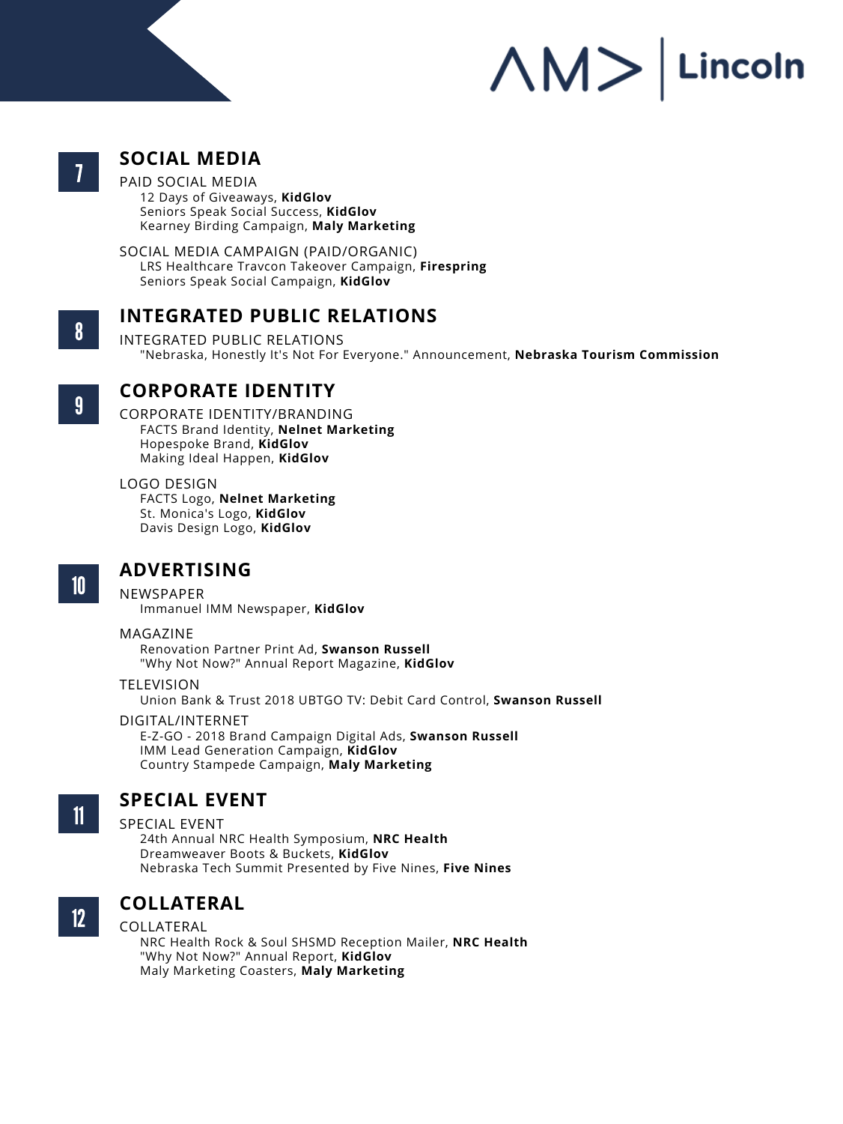



#### **SOCIAL MEDIA**

12 Days of Giveaways, **KidGlov** Seniors Speak Social Success, **KidGlov** Kearney Birding Campaign, **Maly Marketing** PAID SOCIAL MEDIA

SOCIAL MEDIA CAMPAIGN (PAID/ORGANIC) LRS Healthcare Travcon Takeover Campaign, **Firespring** Seniors Speak Social Campaign, **KidGlov**



#### **INTEGRATED PUBLIC RELATIONS**



"Nebraska, Honestly It's Not For Everyone." Announcement, **Nebraska Tourism Commission** INTEGRATED PUBLIC RELATIONS

#### **CORPORATE IDENTITY**

FACTS Brand Identity, **Nelnet Marketing** Hopespoke Brand, **KidGlov** Making Ideal Happen, **KidGlov** CORPORATE IDENTITY/BRANDING

LOGO DESIGN FACTS Logo, **Nelnet Marketing** St. Monica's Logo, **KidGlov** Davis Design Logo, **KidGlov**



10



Immanuel IMM Newspaper, **KidGlov**

NEWSPAPER

#### MAGAZINE

Renovation Partner Print Ad, **Swanson Russell** "Why Not Now?" Annual Report Magazine, **KidGlov**

**TELEVISION** 

Union Bank & Trust 2018 UBTGO TV: Debit Card Control, **Swanson Russell**

DIGITAL/INTERNET

E-Z-GO - 2018 Brand Campaign Digital Ads, **Swanson Russell** IMM Lead Generation Campaign, **KidGlov** Country Stampede Campaign, **Maly Marketing**



#### **SPECIAL EVENT**

24th Annual NRC Health Symposium, **NRC Health** Dreamweaver Boots & Buckets, **KidGlov** Nebraska Tech Summit Presented by Five Nines, **Five Nines**

SPECIAL EVENT



### **COLLATERAL**

NRC Health Rock & Soul SHSMD Reception Mailer, **NRC Health** "Why Not Now?" Annual Report, **KidGlov** Maly Marketing Coasters, **Maly Marketing**

COLLATERAL